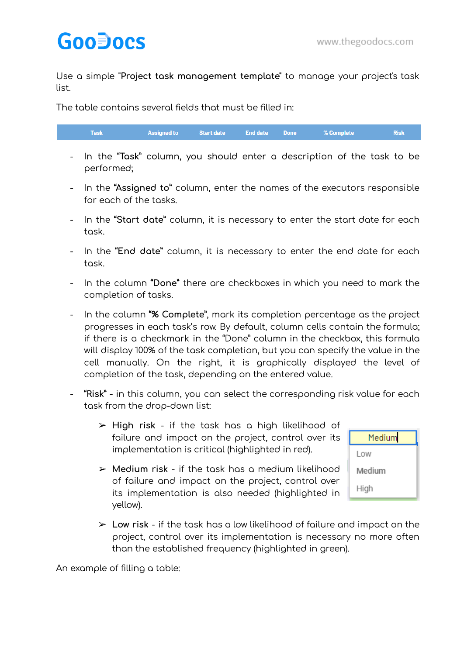Use a simple **"Project task management template"** to manage your project's task list.

The table contains several fields that must be filled in:

|  | Task        Assigned to    Start date   End date   Done     % Complete       Risk N |  |  |  |  |  |
|--|-------------------------------------------------------------------------------------|--|--|--|--|--|
|--|-------------------------------------------------------------------------------------|--|--|--|--|--|

- In the "**Task**" column, you should enter a description of the task to be performed;
- In the **"Assigned to"** column, enter the names of the executors responsible for each of the tasks.
- In the **"Start date"** column, it is necessary to enter the start date for each task.
- In the **"End date"** column, it is necessary to enter the end date for each task.
- In the column **"Done"** there are checkboxes in which you need to mark the completion of tasks.
- In the column **"% Complete"**, mark its completion percentage as the project progresses in each task's row. By default, column cells contain the formula; if there is a checkmark in the "Done" column in the checkbox, this formula will display 100% of the task completion, but you can specify the value in the cell manually. On the right, it is graphically displayed the level of completion of the task, depending on the entered value.
- **"Risk" -** in this column, you can select the corresponding risk value for each task from the drop-down list:
	- ➢ **High risk** if the task has a high likelihood of failure and impact on the project, control over its implementation is critical (highlighted in red).
	- ➢ **Medium risk** if the task has a medium likelihood of failure and impact on the project, control over its implementation is also needed (highlighted in yellow).



➢ **Low risk** - if the task has a low likelihood of failure and impact on the project, control over its implementation is necessary no more often than the established frequency (highlighted in green).

An example of filling a table: